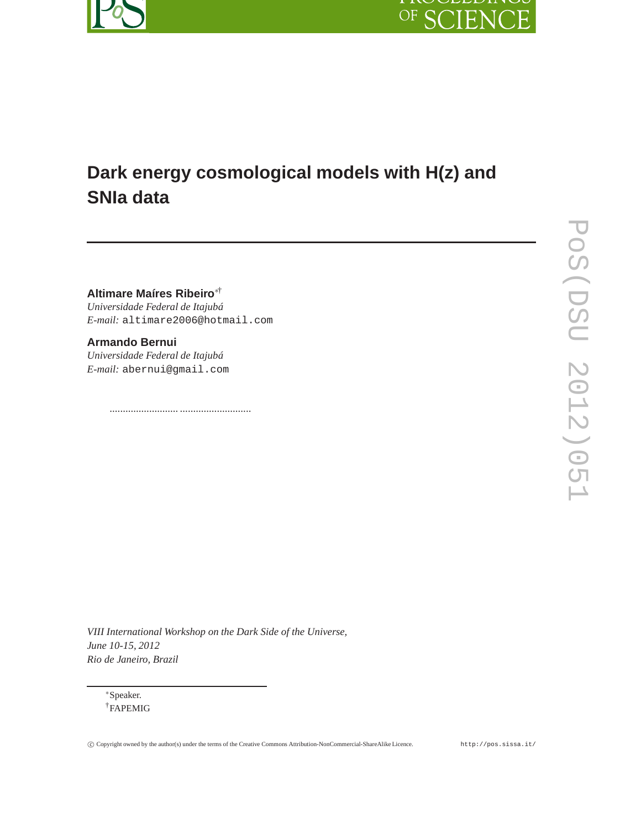



# **Dark energy cosmological models with H(z) and SNIa data**

**Altimare Maíres Ribeiro**∗† *Universidade Federal de Itajubá E-mail:* altimare2006@hotmail.com

.......................... ...........................

**Armando Bernui** *Universidade Federal de Itajubá E-mail:* abernui@gmail.com

*VIII International Workshop on the Dark Side of the Universe, June 10-15, 2012 Rio de Janeiro, Brazil*

<sup>∗</sup>Speaker. †FAPEMIG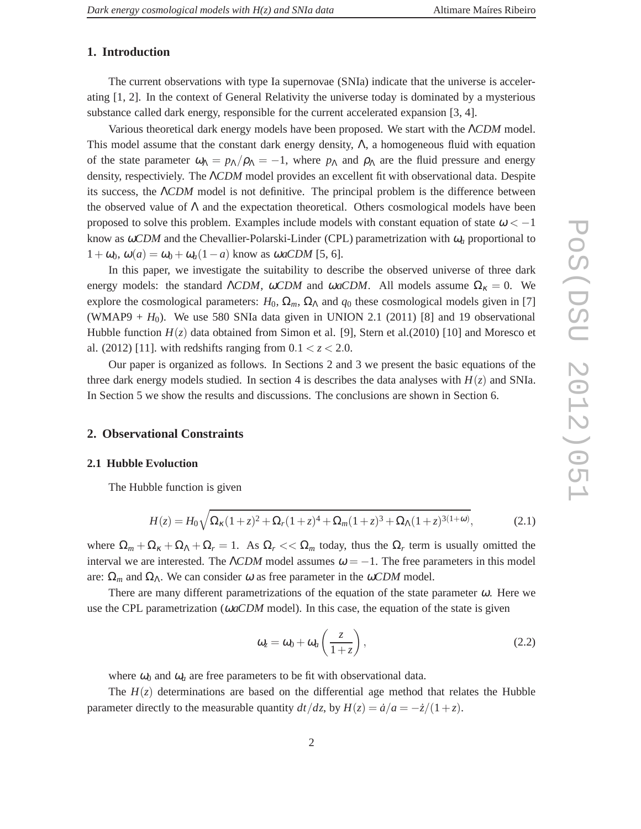# **1. Introduction**

The current observations with type Ia supernovae (SNIa) indicate that the universe is accelerating [1, 2]. In the context of General Relativity the universe today is dominated by a mysterious substance called dark energy, responsible for the current accelerated expansion [3, 4].

Various theoretical dark energy models have been proposed. We start with the Λ*CDM* model. This model assume that the constant dark energy density,  $\Lambda$ , a homogeneous fluid with equation of the state parameter  $\omega_{\Lambda} = p_{\Lambda}/\rho_{\Lambda} = -1$ , where  $p_{\Lambda}$  and  $\rho_{\Lambda}$  are the fluid pressure and energy density, respectiviely. The Λ*CDM* model provides an excellent fit with observational data. Despite its success, the Λ*CDM* model is not definitive. The principal problem is the difference between the observed value of  $\Lambda$  and the expectation theoretical. Others cosmological models have been proposed to solve this problem. Examples include models with constant equation of state  $\omega < -1$ know as  $\omega CDM$  and the Chevallier-Polarski-Linder (CPL) parametrization with  $\omega_a$  proportional to  $1+\omega_0$ ,  $\omega(a) = \omega_0 + \omega_a(1-a)$  know as  $\omega aCDM$  [5, 6].

In this paper, we investigate the suitability to describe the observed universe of three dark energy models: the standard  $\Lambda CDM$ ,  $\omega CDM$  and  $\omega aCDM$ . All models assume  $\Omega_K = 0$ . We explore the cosmological parameters:  $H_0$ ,  $\Omega_m$ ,  $\Omega_{\Lambda}$  and  $q_0$  these cosmological models given in [7] (WMAP9  $+ H_0$ ). We use 580 SNIa data given in UNION 2.1 (2011) [8] and 19 observational Hubble function  $H(z)$  data obtained from Simon et al. [9], Stern et al. (2010) [10] and Moresco et al. (2012) [11]. with redshifts ranging from  $0.1 < z < 2.0$ .

Our paper is organized as follows. In Sections 2 and 3 we present the basic equations of the three dark energy models studied. In section 4 is describes the data analyses with  $H(z)$  and SNIa. In Section 5 we show the results and discussions. The conclusions are shown in Section 6.

## **2. Observational Constraints**

#### **2.1 Hubble Evoluction**

The Hubble function is given

$$
H(z) = H_0 \sqrt{\Omega_{\kappa} (1+z)^2 + \Omega_{r} (1+z)^4 + \Omega_{m} (1+z)^3 + \Omega_{\Lambda} (1+z)^{3(1+\omega)}},
$$
(2.1)

where  $\Omega_m + \Omega_k + \Omega_\Lambda + \Omega_r = 1$ . As  $\Omega_r \ll \Omega_m$  today, thus the  $\Omega_r$  term is usually omitted the interval we are interested. The  $\Lambda CDM$  model assumes  $\omega = -1$ . The free parameters in this model are:  $\Omega_m$  and  $\Omega_{\Lambda}$ . We can consider  $\omega$  as free parameter in the  $\omega CDM$  model.

There are many different parametrizations of the equation of the state parameter  $\omega$ . Here we use the CPL parametrization (ω*aCDM* model). In this case, the equation of the state is given

$$
\omega_z = \omega_0 + \omega_a \left(\frac{z}{1+z}\right),\tag{2.2}
$$

where  $\omega_0$  and  $\omega_a$  are free parameters to be fit with observational data.

The  $H(z)$  determinations are based on the differential age method that relates the Hubble parameter directly to the measurable quantity  $dt/dz$ , by  $H(z) = \dot{a}/a = -\dot{z}/(1+z)$ .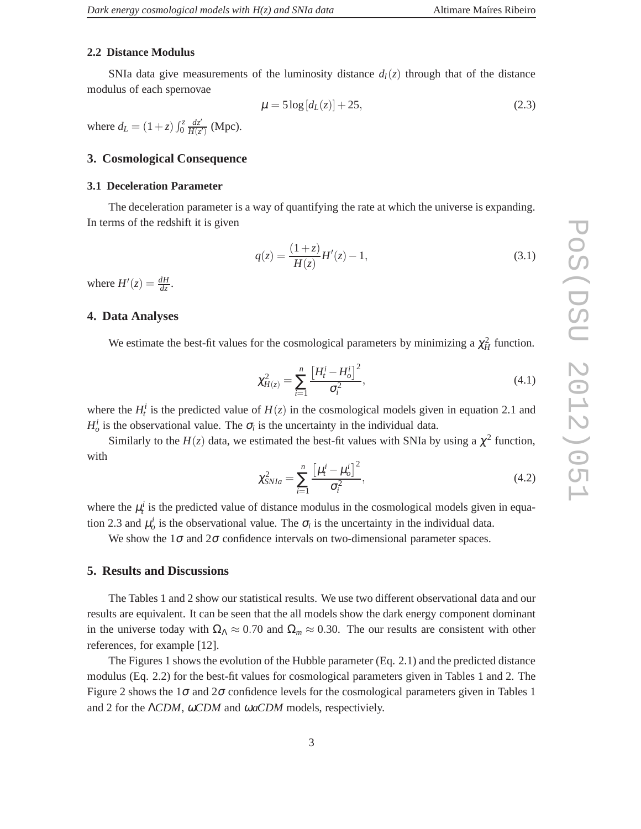## **2.2 Distance Modulus**

SNIa data give measurements of the luminosity distance  $d_l(z)$  through that of the distance modulus of each spernovae

$$
\mu = 5\log\left[d_{L}(z)\right] + 25, \tag{2.3}
$$

where  $d_L = (1+z) \int_0^z \frac{dz'}{H(z)}$  $\frac{dz'}{H(z')}$  (Mpc).

# **3. Cosmological Consequence**

#### **3.1 Deceleration Parameter**

The deceleration parameter is a way of quantifying the rate at which the universe is expanding. In terms of the redshift it is given

$$
q(z) = \frac{(1+z)}{H(z)}H'(z) - 1,
$$
\n(3.1)

where  $H'(z) = \frac{dH}{dz}$ .

# **4. Data Analyses**

We estimate the best-fit values for the cosmological parameters by minimizing a  $\chi^2$  function.

$$
\chi_{H(z)}^2 = \sum_{i=1}^n \frac{\left[H_t^i - H_0^i\right]^2}{\sigma_i^2},\tag{4.1}
$$

where the  $H_t^i$  is the predicted value of  $H(z)$  in the cosmological models given in equation 2.1 and  $H_o^i$  is the observational value. The  $\sigma_i$  is the uncertainty in the individual data.

Similarly to the  $H(z)$  data, we estimated the best-fit values with SNIa by using a  $\chi^2$  function, with

$$
\chi_{SNIa}^2 = \sum_{i=1}^n \frac{\left[\mu_i^i - \mu_o^i\right]^2}{\sigma_i^2},\tag{4.2}
$$

where the  $\mu_t^i$  is the predicted value of distance modulus in the cosmological models given in equation 2.3 and  $\mu_o^i$  is the observational value. The  $\sigma_i$  is the uncertainty in the individual data.

We show the  $1\sigma$  and  $2\sigma$  confidence intervals on two-dimensional parameter spaces.

#### **5. Results and Discussions**

The Tables 1 and 2 show our statistical results. We use two different observational data and our results are equivalent. It can be seen that the all models show the dark energy component dominant in the universe today with  $\Omega_{\Lambda} \approx 0.70$  and  $\Omega_m \approx 0.30$ . The our results are consistent with other references, for example [12].

The Figures 1 shows the evolution of the Hubble parameter (Eq. 2.1) and the predicted distance modulus (Eq. 2.2) for the best-fit values for cosmological parameters given in Tables 1 and 2. The Figure 2 shows the  $1\sigma$  and  $2\sigma$  confidence levels for the cosmological parameters given in Tables 1 and 2 for the Λ*CDM*, <sup>ω</sup>*CDM* and <sup>ω</sup>*aCDM* models, respectiviely.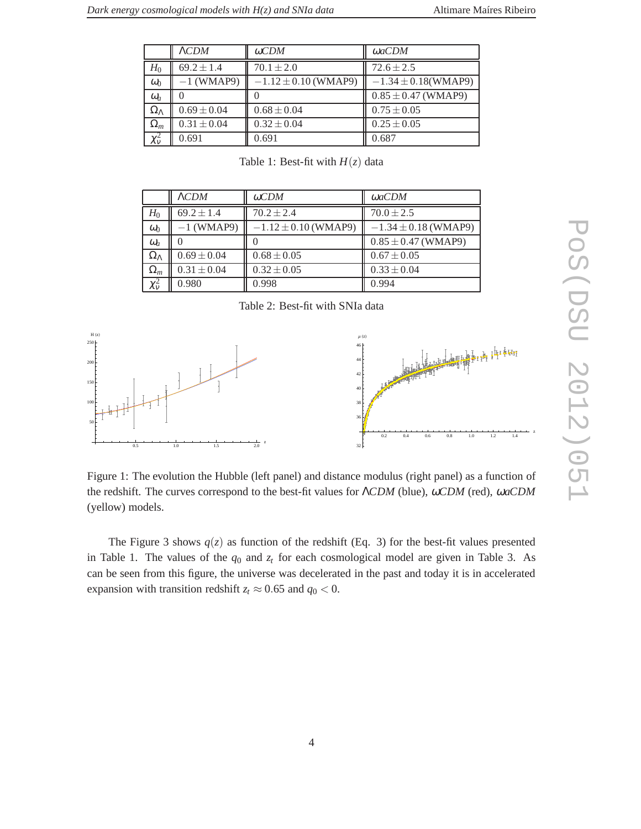|                    | $\Lambda CDM$    | $\omega CDM$             | ωaCDM                    |
|--------------------|------------------|--------------------------|--------------------------|
| $H_0$              | $69.2 \pm 1.4$   | $70.1 \pm 2.0$           | $72.6 \pm 2.5$           |
| $\omega_0$         | $-1$ (WMAP9)     | $-1.12 \pm 0.10$ (WMAP9) | $-1.34 \pm 0.18$ (WMAP9) |
| $\omega_a$         | $\left( \right)$ |                          | $0.85 \pm 0.47$ (WMAP9)  |
| $\Omega_{\Lambda}$ | $0.69 \pm 0.04$  | $0.68 \pm 0.04$          | $0.75 \pm 0.05$          |
| $\Omega_m$         | $0.31 \pm 0.04$  | $0.32 \pm 0.04$          | $0.25 \pm 0.05$          |
| $\chi^2_{\rm v}$   | 0.691            | 0.691                    | 0.687                    |

Table 1: Best-fit with  $H(z)$  data

|                    | $\Lambda CDM$   | $\omega CDM$             | $\omega$ aCDM            |  |  |
|--------------------|-----------------|--------------------------|--------------------------|--|--|
| $H_0$              | $69.2 \pm 1.4$  | $70.2 \pm 2.4$           | $70.0 \pm 2.5$           |  |  |
| $\omega_0$         | $-1$ (WMAP9)    | $-1.12 \pm 0.10$ (WMAP9) | $-1.34 \pm 0.18$ (WMAP9) |  |  |
| $\omega_a$         |                 |                          | $0.85 \pm 0.47$ (WMAP9)  |  |  |
| $\Omega_{\Lambda}$ | $0.69 \pm 0.04$ | $0.68 \pm 0.05$          | $0.67 \pm 0.05$          |  |  |
| $\Omega_m$         | $0.31 \pm 0.04$ | $0.32 \pm 0.05$          | $0.33 \pm 0.04$          |  |  |
| $\chi^2_{\rm v}$   | 0.980           | 0.998                    | 0.994                    |  |  |

#### Table 2: Best-fit with SNIa data



Figure 1: The evolution the Hubble (left panel) and distance modulus (right panel) as a function of the redshift. The curves correspond to the best-fit values for Λ*CDM* (blue), <sup>ω</sup>*CDM* (red), <sup>ω</sup>*aCDM* (yellow) models.

The Figure 3 shows  $q(z)$  as function of the redshift (Eq. 3) for the best-fit values presented in Table 1. The values of the  $q_0$  and  $z_t$  for each cosmological model are given in Table 3. As can be seen from this figure, the universe was decelerated in the past and today it is in accelerated expansion with transition redshift  $z_t \approx 0.65$  and  $q_0 < 0$ .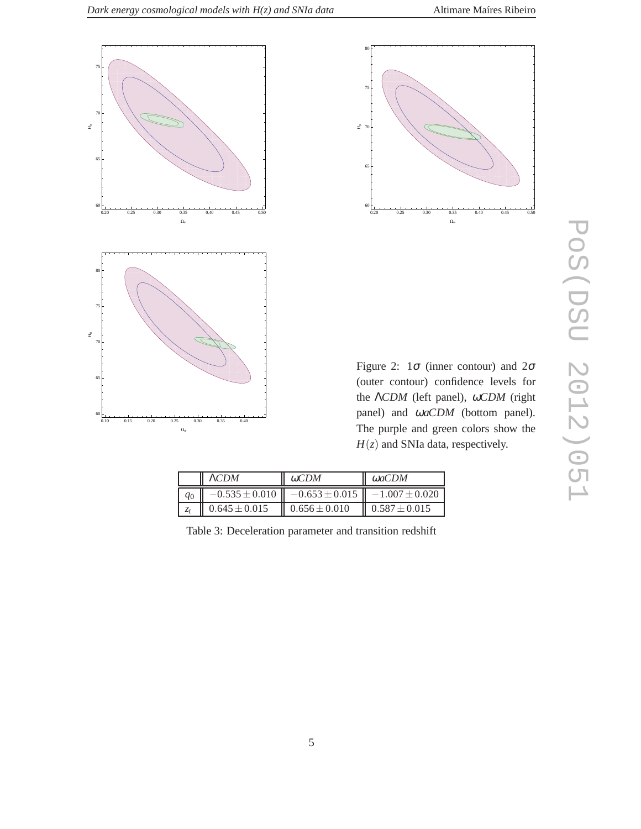



Figure 2:  $1\sigma$  (inner contour) and  $2\sigma$ (outer contour) confidence levels for the Λ*CDM* (left panel), <sup>ω</sup>*CDM* (right panel) and <sup>ω</sup>*aCDM* (bottom panel). The purple and green colors show the  $H(z)$  and SNIa data, respectively.

|  | $\Lambda CDM$     | $\omega CDM$                                                            | $\omega$ aCDM     |
|--|-------------------|-------------------------------------------------------------------------|-------------------|
|  |                   | $q_0$    $-0.535 \pm 0.010$    $-0.653 \pm 0.015$    $-1.007 \pm 0.020$ |                   |
|  | $0.645 \pm 0.015$ | $0.656 \pm 0.010$                                                       | $0.587 \pm 0.015$ |

Table 3: Deceleration parameter and transition redshift